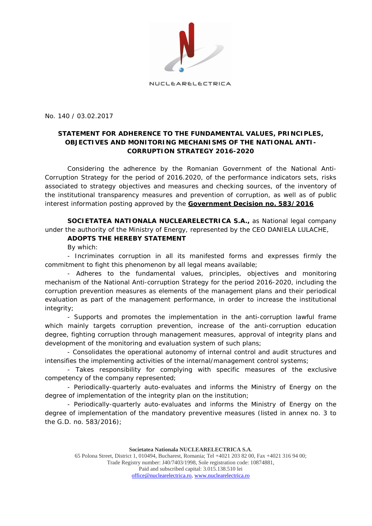

NUCLEARELECTRICA

No. 140 / 03.02.2017

## **STATEMENT FOR ADHERENCE TO THE FUNDAMENTAL VALUES, PRINCIPLES, OBJECTIVES AND MONITORING MECHANISMS OF THE NATIONAL ANTI-CORRUPTION STRATEGY 2016-2020**

Considering the adherence by the Romanian Government of the National Anti-Corruption Strategy for the period of 2016.2020, of the performance indicators sets, risks associated to strategy objectives and measures and checking sources, of the inventory of the institutional transparency measures and prevention of corruption, as well as of public interest information posting approved by the *Government Decision no. 583/2016*

**SOCIETATEA NATIONALA NUCLEARELECTRICA S.A.,** as National legal company under the authority of the Ministry of Energy, represented by the CEO DANIELA LULACHE,

## **ADOPTS THE HEREBY STATEMENT**

By which:

- Incriminates corruption in all its manifested forms and expresses firmly the commitment to fight this phenomenon by all legal means available;

- Adheres to the fundamental values, principles, objectives and monitoring mechanism of the National Anti-corruption Strategy for the period 2016-2020, including the corruption prevention measures as elements of the management plans and their periodical evaluation as part of the management performance, in order to increase the institutional integrity;

- Supports and promotes the implementation in the anti-corruption lawful frame which mainly targets corruption prevention, increase of the anti-corruption education degree, fighting corruption through management measures, approval of integrity plans and development of the monitoring and evaluation system of such plans;

- Consolidates the operational autonomy of internal control and audit structures and intensifies the implementing activities of the internal/management control systems;

- Takes responsibility for complying with specific measures of the exclusive competency of the company represented;

- Periodically-quarterly auto-evaluates and informs the Ministry of Energy on the degree of implementation of the integrity plan on the institution;

- Periodically-quarterly auto-evaluates and informs the Ministry of Energy on the degree of implementation of the mandatory preventive measures (listed in annex no. 3 to the G.D. no. 583/2016);